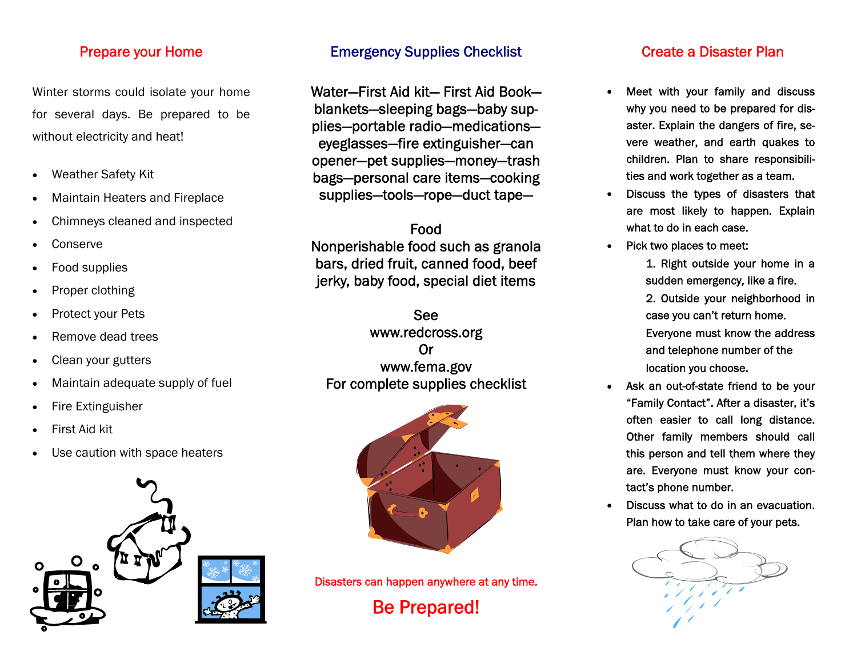#### Prepare your Home

Winter storms could isolate your home for several days. Be prepared to be without electricity and heat!

- $\bullet$ Weather Safety Kit
- $\bullet$ Maintain Heaters and Fireplace
- $\bullet$ Chimneys cleaned and inspected
- $\bullet$ Conserve
- $\bullet$ Food supplies
- $\bullet$ Proper clothing
- $\bullet$ Protect your Pets
- $\bullet$ Remove dead trees
- $\bullet$ Clean your gutters
- $\bullet$ Maintain adequate supply of fuel
- $\bullet$ Fire Extinguisher
- $\bullet$ First Aid kit
- $\bullet$ Use caution with space heaters



### Emergency Supplies Checklist

Water—First Aid kit— First Aid Bookblankets—sleeping bags—baby supplies—portable radio—medications eyeglasses—fire extinguisher—can opener—pet supplies—money—trash bags—personal care items—cooking supplies—tools—rope—duct tape—

Food Nonperishable food such as granola bars, dried fruit, canned food, beef jerky, baby food, special diet items

See www.redcross.org Or www.fema.gov For complete supplies checklist



Disasters can happen anywhere at any time. Be Prepared!

### Create a Disaster Plan

- $\bullet$  Meet with your family and discuss why you need to be prepared for disaster. Explain the dangers of fire, severe weather, and earth quakes to children. Plan to share responsibilities and work together as a team.
- $\bullet$  Discuss the types of disasters that are most likely to happen. Explain what to do in each case.
- $\bullet$  Pick two places to meet:
	- 1. Right outside your home in a sudden emergency, like a fire. 2. Outside your neighborhood in case you can't return home. Everyone must know the address and telephone number of the location you choose.
- $\bullet$  Ask an out-of-state friend to be your "Family Contact". After a disaster, it's often easier to call long distance. Other family members should call this person and tell them where they are. Everyone must know your contact's phone number.
- $\bullet$  Discuss what to do in an evacuation. Plan how to take care of your pets.